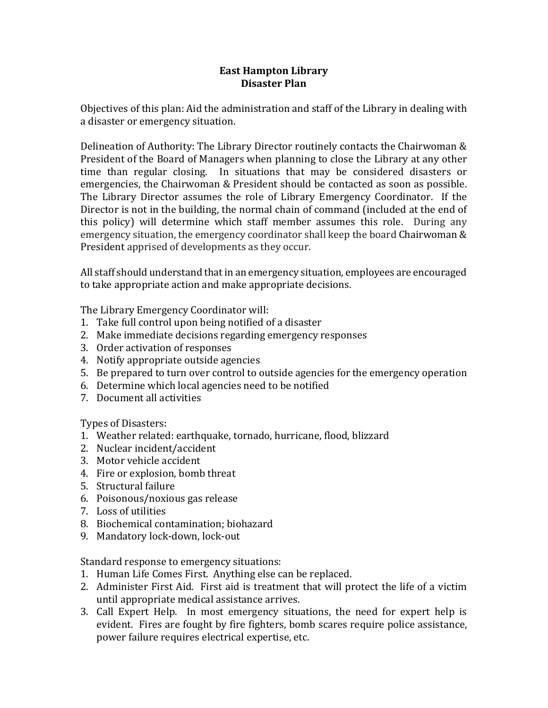## **East Hampton Library Disaster Plan**

Objectives of this plan: Aid the administration and staff of the Library in dealing with a disaster or emergency situation.

Delineation of Authority: The Library Director routinely contacts the Chairwoman & President of the Board of Managers when planning to close the Library at any other time than regular closing. In situations that may be considered disasters or emergencies, the Chairwoman & President should be contacted as soon as possible. The Library Director assumes the role of Library Emergency Coordinator. If the Director is not in the building, the normal chain of command (included at the end of this policy) will determine which staff member assumes this role. During any emergency situation, the emergency coordinator shall keep the board Chairwoman & President apprised of developments as they occur.

All staff should understand that in an emergency situation, employees are encouraged to take appropriate action and make appropriate decisions.

The Library Emergency Coordinator will:

- 1. Take full control upon being notified of a disaster
- 2. Make immediate decisions regarding emergency responses
- 3. Order activation of responses
- 4. Notify appropriate outside agencies
- 5. Be prepared to turn over control to outside agencies for the emergency operation
- 6. Determine which local agencies need to be notified
- 7. Document all activities

Types of Disasters:

- 1. Weather related: earthquake, tornado, hurricane, flood, blizzard
- 2. Nuclear incident/accident
- 3. Motor vehicle accident
- 4. Fire or explosion, bomb threat
- 5. Structural failure
- 6. Poisonous/noxious gas release
- 7. Loss of utilities
- 8. Biochemical contamination; biohazard
- 9. Mandatory lock-down, lock-out

Standard response to emergency situations:

- 1. Human Life Comes First. Anything else can be replaced.
- 2. Administer First Aid. First aid is treatment that will protect the life of a victim until appropriate medical assistance arrives.
- 3. Call Expert Help. In most emergency situations, the need for expert help is evident. Fires are fought by fire fighters, bomb scares require police assistance, power failure requires electrical expertise, etc.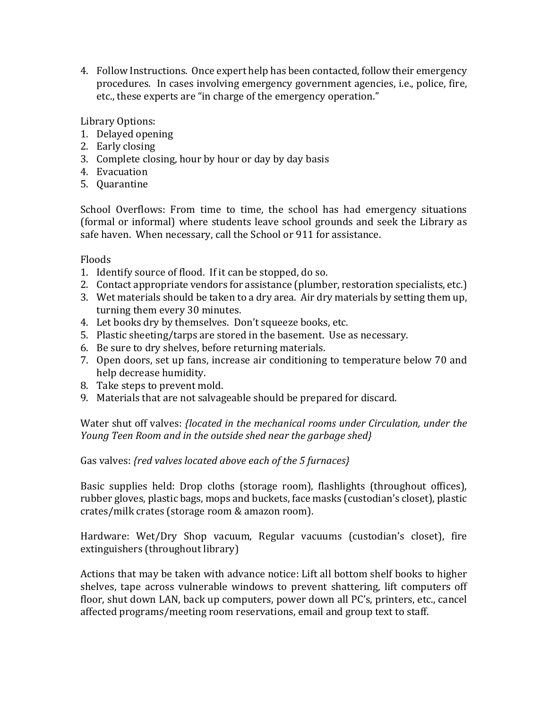4. Follow Instructions. Once expert help has been contacted, follow their emergency procedures. In cases involving emergency government agencies, i.e., police, fire, etc., these experts are "in charge of the emergency operation."

Library Options:

- 1. Delayed opening
- 2. Early closing
- 3. Complete closing, hour by hour or day by day basis
- 4. Evacuation
- 5. Quarantine

School Overflows: From time to time, the school has had emergency situations (formal or informal) where students leave school grounds and seek the Library as safe haven. When necessary, call the School or 911 for assistance.

Floods

- 1. Identify source of flood. If it can be stopped, do so.
- 2. Contact appropriate vendors for assistance (plumber, restoration specialists, etc.)
- 3. Wet materials should be taken to a dry area. Air dry materials by setting them up, turning them every 30 minutes.
- 4. Let books dry by themselves. Don't squeeze books, etc.
- 5. Plastic sheeting/tarps are stored in the basement. Use as necessary.
- 6. Be sure to dry shelves, before returning materials.
- 7. Open doors, set up fans, increase air conditioning to temperature below 70 and help decrease humidity.
- 8. Take steps to prevent mold.
- 9. Materials that are not salvageable should be prepared for discard.

Water shut off valves: *{located in the mechanical rooms under Circulation, under the Young Teen Room and in the outside shed near the garbage shed}*

Gas valves: *{red valves located above each of the 5 furnaces}*

Basic supplies held: Drop cloths (storage room), flashlights (throughout offices), rubber gloves, plastic bags, mops and buckets, face masks (custodian's closet), plastic crates/milk crates (storage room & amazon room).

Hardware: Wet/Dry Shop vacuum, Regular vacuums (custodian's closet), fire extinguishers (throughout library)

Actions that may be taken with advance notice: Lift all bottom shelf books to higher shelves, tape across vulnerable windows to prevent shattering, lift computers off floor, shut down LAN, back up computers, power down all PC's, printers, etc., cancel affected programs/meeting room reservations, email and group text to staff.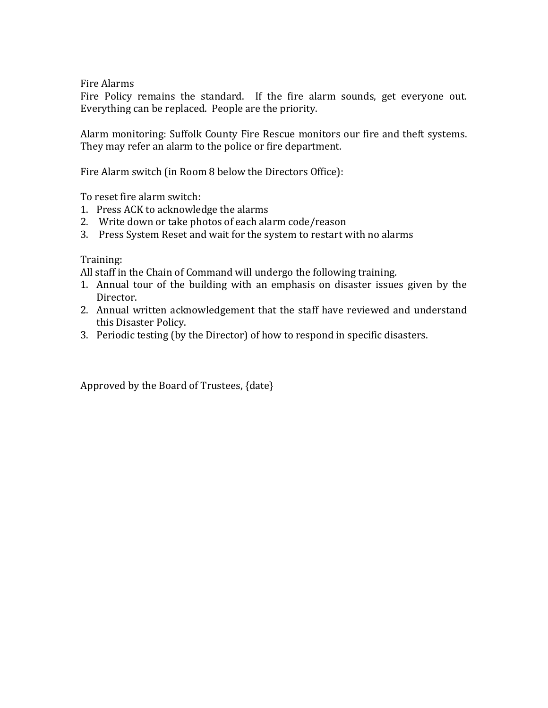Fire Alarms

Fire Policy remains the standard. If the fire alarm sounds, get everyone out. Everything can be replaced. People are the priority.

Alarm monitoring: Suffolk County Fire Rescue monitors our fire and theft systems. They may refer an alarm to the police or fire department.

Fire Alarm switch (in Room 8 below the Directors Office):

To reset fire alarm switch:

- 1. Press ACK to acknowledge the alarms
- 2. Write down or take photos of each alarm code/reason
- 3. Press System Reset and wait for the system to restart with no alarms

Training:

All staff in the Chain of Command will undergo the following training.

- 1. Annual tour of the building with an emphasis on disaster issues given by the Director.
- 2. Annual written acknowledgement that the staff have reviewed and understand this Disaster Policy.
- 3. Periodic testing (by the Director) of how to respond in specific disasters.

Approved by the Board of Trustees, {date}